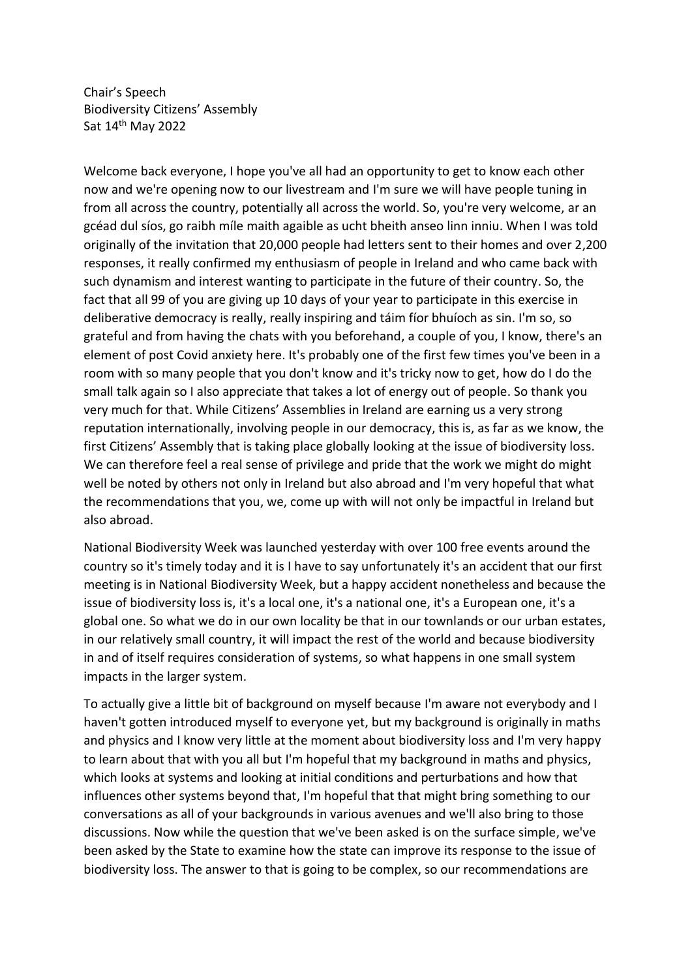Chair's Speech Biodiversity Citizens' Assembly Sat 14th May 2022

Welcome back everyone, I hope you've all had an opportunity to get to know each other now and we're opening now to our livestream and I'm sure we will have people tuning in from all across the country, potentially all across the world. So, you're very welcome, ar an gcéad dul síos, go raibh míle maith agaible as ucht bheith anseo linn inniu. When I was told originally of the invitation that 20,000 people had letters sent to their homes and over 2,200 responses, it really confirmed my enthusiasm of people in Ireland and who came back with such dynamism and interest wanting to participate in the future of their country. So, the fact that all 99 of you are giving up 10 days of your year to participate in this exercise in deliberative democracy is really, really inspiring and táim fíor bhuíoch as sin. I'm so, so grateful and from having the chats with you beforehand, a couple of you, I know, there's an element of post Covid anxiety here. It's probably one of the first few times you've been in a room with so many people that you don't know and it's tricky now to get, how do I do the small talk again so I also appreciate that takes a lot of energy out of people. So thank you very much for that. While Citizens' Assemblies in Ireland are earning us a very strong reputation internationally, involving people in our democracy, this is, as far as we know, the first Citizens' Assembly that is taking place globally looking at the issue of biodiversity loss. We can therefore feel a real sense of privilege and pride that the work we might do might well be noted by others not only in Ireland but also abroad and I'm very hopeful that what the recommendations that you, we, come up with will not only be impactful in Ireland but also abroad.

National Biodiversity Week was launched yesterday with over 100 free events around the country so it's timely today and it is I have to say unfortunately it's an accident that our first meeting is in National Biodiversity Week, but a happy accident nonetheless and because the issue of biodiversity loss is, it's a local one, it's a national one, it's a European one, it's a global one. So what we do in our own locality be that in our townlands or our urban estates, in our relatively small country, it will impact the rest of the world and because biodiversity in and of itself requires consideration of systems, so what happens in one small system impacts in the larger system.

To actually give a little bit of background on myself because I'm aware not everybody and I haven't gotten introduced myself to everyone yet, but my background is originally in maths and physics and I know very little at the moment about biodiversity loss and I'm very happy to learn about that with you all but I'm hopeful that my background in maths and physics, which looks at systems and looking at initial conditions and perturbations and how that influences other systems beyond that, I'm hopeful that that might bring something to our conversations as all of your backgrounds in various avenues and we'll also bring to those discussions. Now while the question that we've been asked is on the surface simple, we've been asked by the State to examine how the state can improve its response to the issue of biodiversity loss. The answer to that is going to be complex, so our recommendations are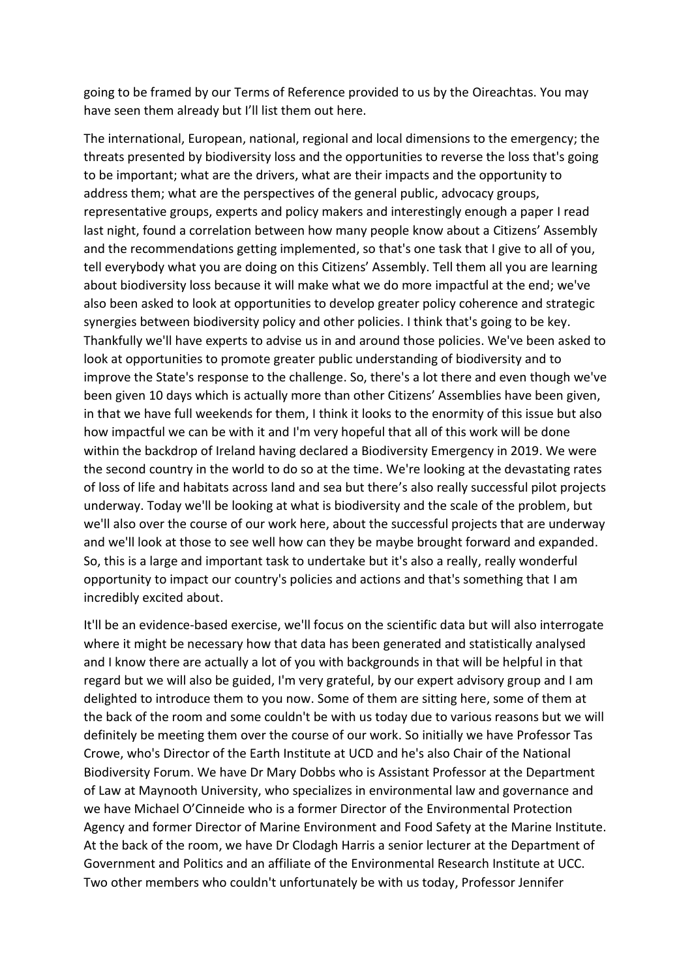going to be framed by our Terms of Reference provided to us by the Oireachtas. You may have seen them already but I'll list them out here.

The international, European, national, regional and local dimensions to the emergency; the threats presented by biodiversity loss and the opportunities to reverse the loss that's going to be important; what are the drivers, what are their impacts and the opportunity to address them; what are the perspectives of the general public, advocacy groups, representative groups, experts and policy makers and interestingly enough a paper I read last night, found a correlation between how many people know about a Citizens' Assembly and the recommendations getting implemented, so that's one task that I give to all of you, tell everybody what you are doing on this Citizens' Assembly. Tell them all you are learning about biodiversity loss because it will make what we do more impactful at the end; we've also been asked to look at opportunities to develop greater policy coherence and strategic synergies between biodiversity policy and other policies. I think that's going to be key. Thankfully we'll have experts to advise us in and around those policies. We've been asked to look at opportunities to promote greater public understanding of biodiversity and to improve the State's response to the challenge. So, there's a lot there and even though we've been given 10 days which is actually more than other Citizens' Assemblies have been given, in that we have full weekends for them, I think it looks to the enormity of this issue but also how impactful we can be with it and I'm very hopeful that all of this work will be done within the backdrop of Ireland having declared a Biodiversity Emergency in 2019. We were the second country in the world to do so at the time. We're looking at the devastating rates of loss of life and habitats across land and sea but there's also really successful pilot projects underway. Today we'll be looking at what is biodiversity and the scale of the problem, but we'll also over the course of our work here, about the successful projects that are underway and we'll look at those to see well how can they be maybe brought forward and expanded. So, this is a large and important task to undertake but it's also a really, really wonderful opportunity to impact our country's policies and actions and that's something that I am incredibly excited about.

It'll be an evidence-based exercise, we'll focus on the scientific data but will also interrogate where it might be necessary how that data has been generated and statistically analysed and I know there are actually a lot of you with backgrounds in that will be helpful in that regard but we will also be guided, I'm very grateful, by our expert advisory group and I am delighted to introduce them to you now. Some of them are sitting here, some of them at the back of the room and some couldn't be with us today due to various reasons but we will definitely be meeting them over the course of our work. So initially we have Professor Tas Crowe, who's Director of the Earth Institute at UCD and he's also Chair of the National Biodiversity Forum. We have Dr Mary Dobbs who is Assistant Professor at the Department of Law at Maynooth University, who specializes in environmental law and governance and we have Michael O'Cinneide who is a former Director of the Environmental Protection Agency and former Director of Marine Environment and Food Safety at the Marine Institute. At the back of the room, we have Dr Clodagh Harris a senior lecturer at the Department of Government and Politics and an affiliate of the Environmental Research Institute at UCC. Two other members who couldn't unfortunately be with us today, Professor Jennifer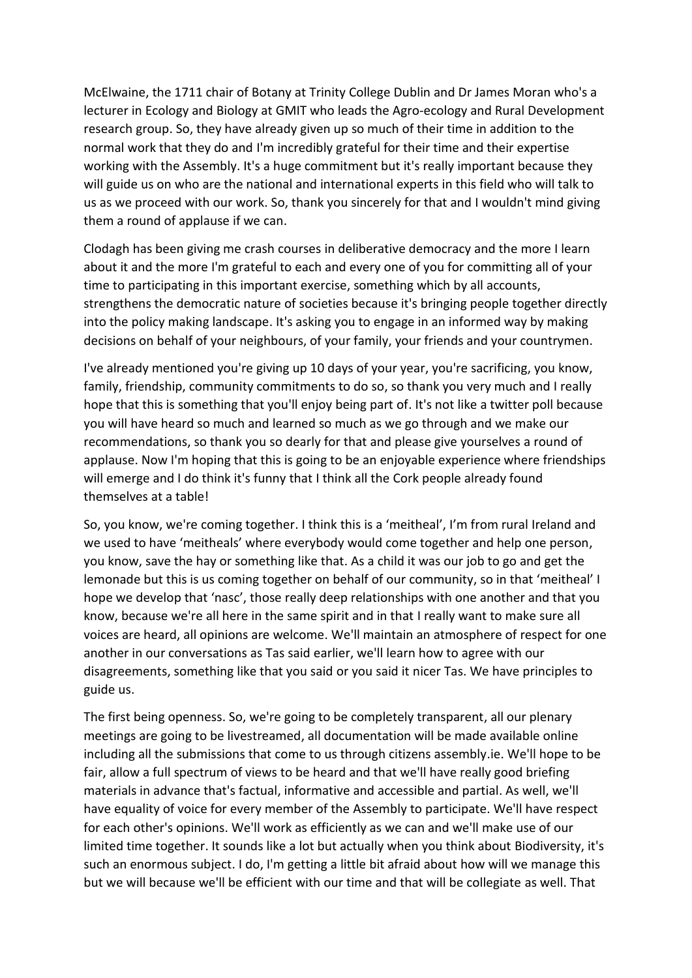McElwaine, the 1711 chair of Botany at Trinity College Dublin and Dr James Moran who's a lecturer in Ecology and Biology at GMIT who leads the Agro-ecology and Rural Development research group. So, they have already given up so much of their time in addition to the normal work that they do and I'm incredibly grateful for their time and their expertise working with the Assembly. It's a huge commitment but it's really important because they will guide us on who are the national and international experts in this field who will talk to us as we proceed with our work. So, thank you sincerely for that and I wouldn't mind giving them a round of applause if we can.

Clodagh has been giving me crash courses in deliberative democracy and the more I learn about it and the more I'm grateful to each and every one of you for committing all of your time to participating in this important exercise, something which by all accounts, strengthens the democratic nature of societies because it's bringing people together directly into the policy making landscape. It's asking you to engage in an informed way by making decisions on behalf of your neighbours, of your family, your friends and your countrymen.

I've already mentioned you're giving up 10 days of your year, you're sacrificing, you know, family, friendship, community commitments to do so, so thank you very much and I really hope that this is something that you'll enjoy being part of. It's not like a twitter poll because you will have heard so much and learned so much as we go through and we make our recommendations, so thank you so dearly for that and please give yourselves a round of applause. Now I'm hoping that this is going to be an enjoyable experience where friendships will emerge and I do think it's funny that I think all the Cork people already found themselves at a table!

So, you know, we're coming together. I think this is a 'meitheal', I'm from rural Ireland and we used to have 'meitheals' where everybody would come together and help one person, you know, save the hay or something like that. As a child it was our job to go and get the lemonade but this is us coming together on behalf of our community, so in that 'meitheal' I hope we develop that 'nasc', those really deep relationships with one another and that you know, because we're all here in the same spirit and in that I really want to make sure all voices are heard, all opinions are welcome. We'll maintain an atmosphere of respect for one another in our conversations as Tas said earlier, we'll learn how to agree with our disagreements, something like that you said or you said it nicer Tas. We have principles to guide us.

The first being openness. So, we're going to be completely transparent, all our plenary meetings are going to be livestreamed, all documentation will be made available online including all the submissions that come to us through citizens assembly.ie. We'll hope to be fair, allow a full spectrum of views to be heard and that we'll have really good briefing materials in advance that's factual, informative and accessible and partial. As well, we'll have equality of voice for every member of the Assembly to participate. We'll have respect for each other's opinions. We'll work as efficiently as we can and we'll make use of our limited time together. It sounds like a lot but actually when you think about Biodiversity, it's such an enormous subject. I do, I'm getting a little bit afraid about how will we manage this but we will because we'll be efficient with our time and that will be collegiate as well. That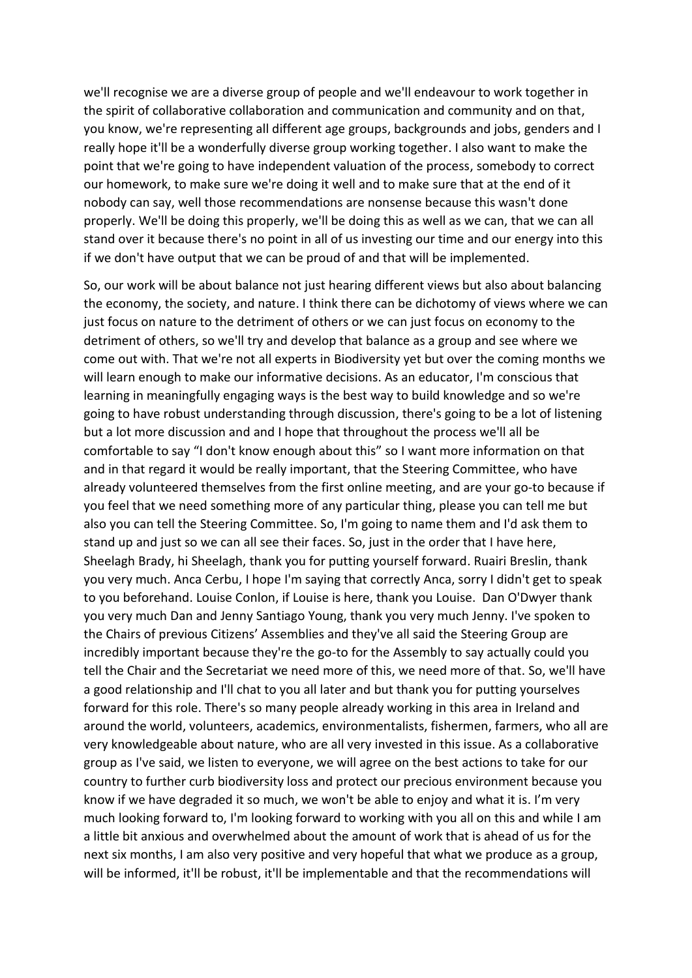we'll recognise we are a diverse group of people and we'll endeavour to work together in the spirit of collaborative collaboration and communication and community and on that, you know, we're representing all different age groups, backgrounds and jobs, genders and I really hope it'll be a wonderfully diverse group working together. I also want to make the point that we're going to have independent valuation of the process, somebody to correct our homework, to make sure we're doing it well and to make sure that at the end of it nobody can say, well those recommendations are nonsense because this wasn't done properly. We'll be doing this properly, we'll be doing this as well as we can, that we can all stand over it because there's no point in all of us investing our time and our energy into this if we don't have output that we can be proud of and that will be implemented.

So, our work will be about balance not just hearing different views but also about balancing the economy, the society, and nature. I think there can be dichotomy of views where we can just focus on nature to the detriment of others or we can just focus on economy to the detriment of others, so we'll try and develop that balance as a group and see where we come out with. That we're not all experts in Biodiversity yet but over the coming months we will learn enough to make our informative decisions. As an educator, I'm conscious that learning in meaningfully engaging ways is the best way to build knowledge and so we're going to have robust understanding through discussion, there's going to be a lot of listening but a lot more discussion and and I hope that throughout the process we'll all be comfortable to say "I don't know enough about this" so I want more information on that and in that regard it would be really important, that the Steering Committee, who have already volunteered themselves from the first online meeting, and are your go-to because if you feel that we need something more of any particular thing, please you can tell me but also you can tell the Steering Committee. So, I'm going to name them and I'd ask them to stand up and just so we can all see their faces. So, just in the order that I have here, Sheelagh Brady, hi Sheelagh, thank you for putting yourself forward. Ruairi Breslin, thank you very much. Anca Cerbu, I hope I'm saying that correctly Anca, sorry I didn't get to speak to you beforehand. Louise Conlon, if Louise is here, thank you Louise. Dan O'Dwyer thank you very much Dan and Jenny Santiago Young, thank you very much Jenny. I've spoken to the Chairs of previous Citizens' Assemblies and they've all said the Steering Group are incredibly important because they're the go-to for the Assembly to say actually could you tell the Chair and the Secretariat we need more of this, we need more of that. So, we'll have a good relationship and I'll chat to you all later and but thank you for putting yourselves forward for this role. There's so many people already working in this area in Ireland and around the world, volunteers, academics, environmentalists, fishermen, farmers, who all are very knowledgeable about nature, who are all very invested in this issue. As a collaborative group as I've said, we listen to everyone, we will agree on the best actions to take for our country to further curb biodiversity loss and protect our precious environment because you know if we have degraded it so much, we won't be able to enjoy and what it is. I'm very much looking forward to, I'm looking forward to working with you all on this and while I am a little bit anxious and overwhelmed about the amount of work that is ahead of us for the next six months, I am also very positive and very hopeful that what we produce as a group, will be informed, it'll be robust, it'll be implementable and that the recommendations will